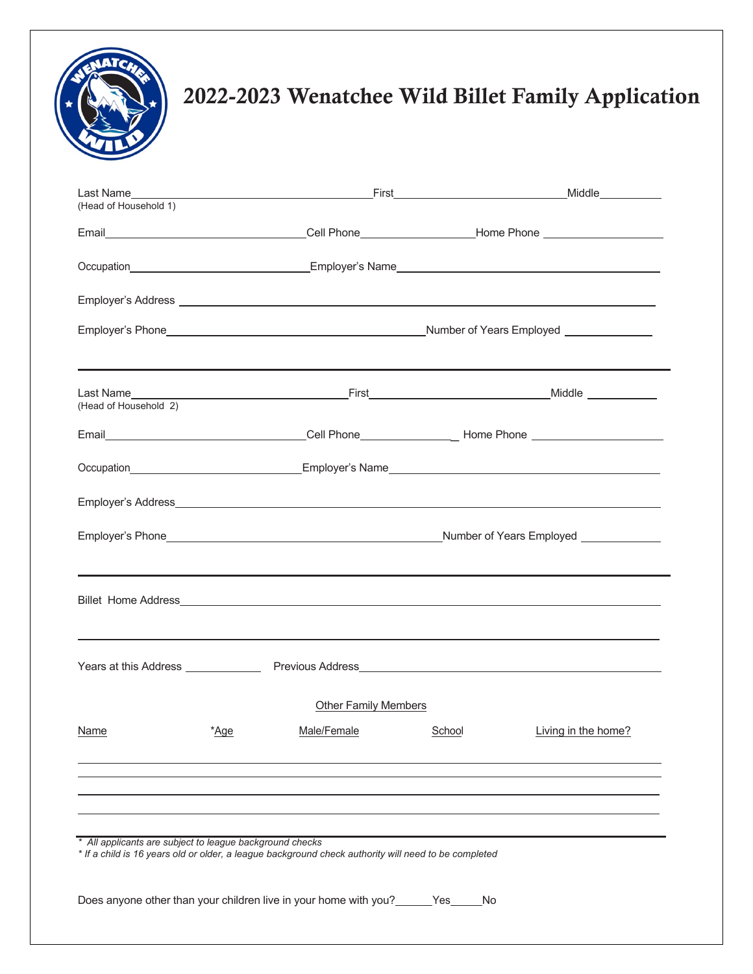

## **Figure 2022-2023 Wenatchee Wild Billet Family Application**

| (Head of Household 1)                                    |      |                                                                                                      |        |                                                                                                      |
|----------------------------------------------------------|------|------------------------------------------------------------------------------------------------------|--------|------------------------------------------------------------------------------------------------------|
|                                                          |      |                                                                                                      |        | Email__________________________________Cell Phone__________________Home Phone ______________________ |
|                                                          |      |                                                                                                      |        |                                                                                                      |
|                                                          |      |                                                                                                      |        | Employer's Address <b>Employer's Address</b>                                                         |
|                                                          |      |                                                                                                      |        |                                                                                                      |
| (Head of Household 2)                                    |      |                                                                                                      |        |                                                                                                      |
|                                                          |      |                                                                                                      |        |                                                                                                      |
|                                                          |      |                                                                                                      |        |                                                                                                      |
|                                                          |      |                                                                                                      |        |                                                                                                      |
|                                                          |      |                                                                                                      |        |                                                                                                      |
|                                                          |      |                                                                                                      |        |                                                                                                      |
|                                                          |      |                                                                                                      |        |                                                                                                      |
|                                                          |      | <b>Other Family Members</b>                                                                          |        |                                                                                                      |
| Name                                                     | *Age | Male/Female                                                                                          | School | Living in the home?                                                                                  |
|                                                          |      |                                                                                                      |        |                                                                                                      |
| * All applicants are subject to league background checks |      | * If a child is 16 years old or older, a league background check authority will need to be completed |        |                                                                                                      |
|                                                          |      | Does anyone other than your children live in your home with you? ______ Yes_____                     | No.    |                                                                                                      |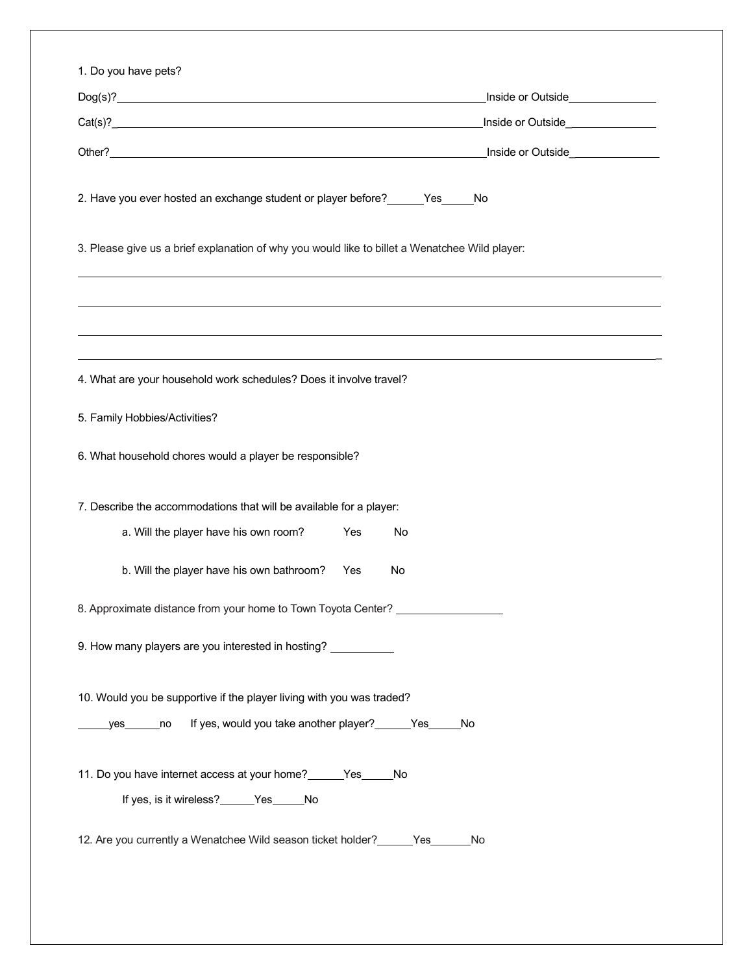| $\text{Dog}(s)?$                                                                                                                           | Inside or Outside<br><u>Inside or Outside</u>                                    |
|--------------------------------------------------------------------------------------------------------------------------------------------|----------------------------------------------------------------------------------|
| Cat(s)?                                                                                                                                    | Inside or Outside_________________                                               |
|                                                                                                                                            |                                                                                  |
|                                                                                                                                            |                                                                                  |
| 2. Have you ever hosted an exchange student or player before? ______Yes_____No                                                             |                                                                                  |
| 3. Please give us a brief explanation of why you would like to billet a Wenatchee Wild player:                                             |                                                                                  |
|                                                                                                                                            |                                                                                  |
|                                                                                                                                            |                                                                                  |
|                                                                                                                                            | ,我们也不会有什么。""我们的人,我们也不会有什么?""我们的人,我们也不会有什么?""我们的人,我们也不会有什么?""我们的人,我们也不会有什么?""我们的人 |
| 4. What are your household work schedules? Does it involve travel?                                                                         |                                                                                  |
|                                                                                                                                            |                                                                                  |
| 5. Family Hobbies/Activities?                                                                                                              |                                                                                  |
| 6. What household chores would a player be responsible?                                                                                    |                                                                                  |
| 7. Describe the accommodations that will be available for a player:                                                                        |                                                                                  |
| a. Will the player have his own room?<br>Yes                                                                                               | No                                                                               |
| b. Will the player have his own bathroom?<br>Yes                                                                                           | No                                                                               |
|                                                                                                                                            |                                                                                  |
| 8. Approximate distance from your home to Town Toyota Center?                                                                              |                                                                                  |
| 9. How many players are you interested in hosting? ___________                                                                             |                                                                                  |
|                                                                                                                                            |                                                                                  |
| 10. Would you be supportive if the player living with you was traded?<br>If yes, would you take another player? ______Yes_____No<br>yes no |                                                                                  |
|                                                                                                                                            |                                                                                  |
| 11. Do you have internet access at your home? ______ Yes _____ No                                                                          |                                                                                  |
| If yes, is it wireless?______Yes_____No                                                                                                    |                                                                                  |
| 12. Are you currently a Wenatchee Wild season ticket holder? ______ Yes_______ No                                                          |                                                                                  |